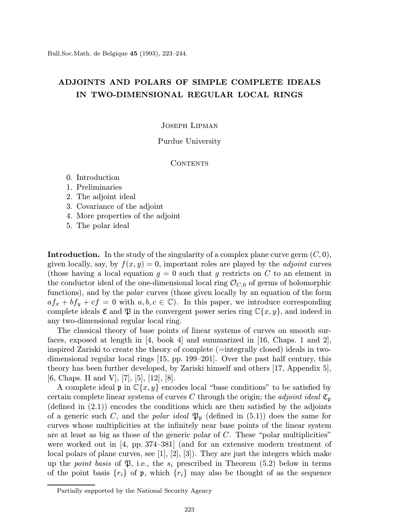Bull.Soc.Math. de Belgique 45 (1993), 223–244.

# ADJOINTS AND POLARS OF SIMPLE COMPLETE IDEALS IN TWO-DIMENSIONAL REGULAR LOCAL RINGS

#### Joseph Lipman

## Purdue University

## CONTENTS

- 0. Introduction
- 1. Preliminaries
- 2. The adjoint ideal
- 3. Covariance of the adjoint
- 4. More properties of the adjoint
- 5. The polar ideal

**Introduction.** In the study of the singularity of a complex plane curve germ  $(C, 0)$ , given locally, say, by  $f(x, y) = 0$ , important roles are played by the *adjoint* curves (those having a local equation  $g = 0$  such that g restricts on C to an element in the conductor ideal of the one-dimensional local ring  $\mathcal{O}_{C,0}$  of germs of holomorphic functions), and by the polar curves (those given locally by an equation of the form  $af_x + bf_y + cf = 0$  with  $a, b, c \in \mathbb{C}$ . In this paper, we introduce corresponding complete ideals  $\mathfrak C$  and  $\mathfrak P$  in the convergent power series ring  $\mathbb C\{x,y\}$ , and indeed in any two-dimensional regular local ring.

The classical theory of base points of linear systems of curves on smooth surfaces, exposed at length in  $\begin{bmatrix} 4 \\ 2 \end{bmatrix}$  and summarized in  $\begin{bmatrix} 16 \\ 0.6 \end{bmatrix}$  Chaps. 1 and 2, inspired Zariski to create the theory of complete (=integrally closed) ideals in twodimensional regular local rings [15, pp. 199–201]. Over the past half century, this theory has been further developed, by Zariski himself and others [17, Appendix 5], [6, Chaps. II and V], [7], [5], [12], [8].

A complete ideal  $\mathfrak{p}$  in  $\mathbb{C}\{x,y\}$  encodes local "base conditions" to be satisfied by certain complete linear systems of curves C through the origin; the *adjoint ideal*  $\mathfrak{C}_p$ (defined in  $(2.1)$ ) encodes the conditions which are then satisfied by the adjoints of a generic such C, and the *polar ideal*  $\mathfrak{P}_{p}$  (defined in (5.1)) does the same for curves whose multiplicities at the infinitely near base points of the linear system are at least as big as those of the generic polar of  $C$ . These "polar multiplicities" were worked out in [4, pp. 374–381] (and for an extensive modern treatment of local polars of plane curves, see [1], [2], [3]). They are just the integers which make up the *point basis* of  $\mathfrak{P}$ , i.e., the  $s_i$  prescribed in Theorem (5.2) below in terms of the point basis  $\{r_i\}$  of p, which  $\{r_i\}$  may also be thought of as the sequence

Partially supported by the National Security Agency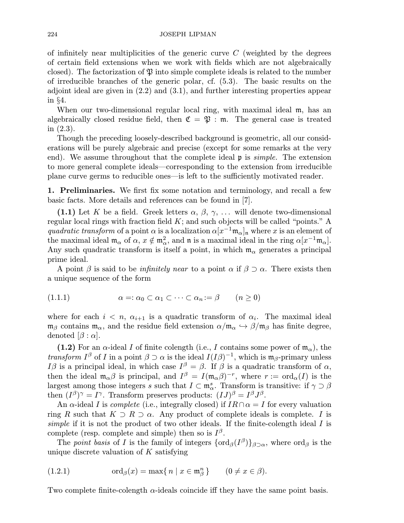of infinitely near multiplicities of the generic curve  $C$  (weighted by the degrees of certain field extensions when we work with fields which are not algebraically closed). The factorization of  $\mathfrak P$  into simple complete ideals is related to the number of irreducible branches of the generic polar, cf. (5.3). The basic results on the adjoint ideal are given in (2.2) and (3.1), and further interesting properties appear in §4.

When our two-dimensional regular local ring, with maximal ideal m, has an algebraically closed residue field, then  $\mathfrak{C} = \mathfrak{P}$  : m. The general case is treated in (2.3).

Though the preceding loosely-described background is geometric, all our considerations will be purely algebraic and precise (except for some remarks at the very end). We assume throughout that the complete ideal  $\mathfrak p$  is *simple*. The extension to more general complete ideals—corresponding to the extension from irreducible plane curve germs to reducible ones—is left to the sufficiently motivated reader.

1. Preliminaries. We first fix some notation and terminology, and recall a few basic facts. More details and references can be found in [7].

(1.1) Let K be a field. Greek letters  $\alpha$ ,  $\beta$ ,  $\gamma$ , ... will denote two-dimensional regular local rings with fraction field  $K$ ; and such objects will be called "points." A quadratic transform of a point  $\alpha$  is a localization  $\alpha[x^{-1}m_{\alpha}]_n$  where x is an element of the maximal ideal  $m_\alpha$  of  $\alpha$ ,  $x \notin m_\alpha^2$ , and  $\mathfrak n$  is a maximal ideal in the ring  $\alpha[x^{-1}\mathfrak m_\alpha]$ . Any such quadratic transform is itself a point, in which  $m_\alpha$  generates a principal prime ideal.

A point  $\beta$  is said to be *infinitely near* to a point  $\alpha$  if  $\beta \supset \alpha$ . There exists then a unique sequence of the form

$$
(1.1.1) \qquad \alpha =: \alpha_0 \subset \alpha_1 \subset \cdots \subset \alpha_n := \beta \qquad (n \ge 0)
$$

where for each  $i < n$ ,  $\alpha_{i+1}$  is a quadratic transform of  $\alpha_i$ . The maximal ideal  $\mathfrak{m}_{\beta}$  contains  $\mathfrak{m}_{\alpha}$ , and the residue field extension  $\alpha/\mathfrak{m}_{\alpha} \hookrightarrow \beta/\mathfrak{m}_{\beta}$  has finite degree, denoted  $[\beta : \alpha]$ .

(1.2) For an  $\alpha$ -ideal I of finite colength (i.e., I contains some power of  $m_{\alpha}$ ), the transform  $I^{\beta}$  of I in a point  $\beta \supset \alpha$  is the ideal  $I(I\beta)^{-1}$ , which is m<sub>β</sub>-primary unless Iβ is a principal ideal, in which case  $I^{\beta} = \beta$ . If  $\beta$  is a quadratic transform of  $\alpha$ , then the ideal  $\mathfrak{m}_{\alpha}\beta$  is principal, and  $I^{\beta} = I(\mathfrak{m}_{\alpha}\beta)^{-r}$ , where  $r := \text{ord}_{\alpha}(I)$  is the largest among those integers s such that  $I \subset \mathfrak{m}^s_\alpha$ . Transform is transitive: if  $\gamma \supset \beta$ then  $(I^{\beta})^{\gamma} = I^{\gamma}$ . Transform preserves products:  $(IJ)^{\beta} = I^{\beta}J^{\beta}$ .

An  $\alpha$ -ideal I is *complete* (i.e., integrally closed) if  $IR \cap \alpha = I$  for every valuation ring R such that  $K \supset R \supset \alpha$ . Any product of complete ideals is complete. I is simple if it is not the product of two other ideals. If the finite-colength ideal  $I$  is complete (resp. complete and simple) then so is  $I^{\beta}$ .

The point basis of I is the family of integers  $\{\text{ord}_{\beta}(I^{\beta})\}_{\beta\supset\alpha}$ , where  $\text{ord}_{\beta}$  is the unique discrete valuation of  $K$  satisfying

(1.2.1) 
$$
\operatorname{ord}_{\beta}(x) = \max\{n \mid x \in \mathfrak{m}_{\beta}^n\} \qquad (0 \neq x \in \beta).
$$

Two complete finite-colength  $\alpha$ -ideals coincide iff they have the same point basis.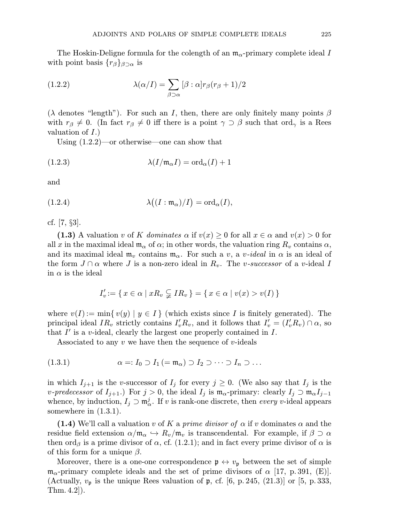The Hoskin-Deligne formula for the colength of an  $m_{\alpha}$ -primary complete ideal I with point basis  $\{r_\beta\}_{\beta\supset\alpha}$  is

(1.2.2) 
$$
\lambda(\alpha/I) = \sum_{\beta \supset \alpha} [\beta : \alpha] r_{\beta}(r_{\beta} + 1)/2
$$

( $\lambda$  denotes "length"). For such an I, then, there are only finitely many points  $\beta$ with  $r_\beta \neq 0$ . (In fact  $r_\beta \neq 0$  iff there is a point  $\gamma \supset \beta$  such that ord<sub>γ</sub> is a Rees valuation of  $I$ .)

Using (1.2.2)—or otherwise—one can show that

(1.2.3) 
$$
\lambda(I/\mathfrak{m}_{\alpha}I) = \text{ord}_{\alpha}(I) + 1
$$

and

(1.2.4) 
$$
\lambda((I : \mathfrak{m}_{\alpha})/I) = \mathrm{ord}_{\alpha}(I),
$$

cf. [7, §3].

(1.3) A valuation v of K dominates  $\alpha$  if  $v(x) \geq 0$  for all  $x \in \alpha$  and  $v(x) > 0$  for all x in the maximal ideal  $\mathfrak{m}_{\alpha}$  of  $\alpha$ ; in other words, the valuation ring  $R_v$  contains  $\alpha$ , and its maximal ideal  $\mathfrak{m}_v$  contains  $\mathfrak{m}_{\alpha}$ . For such a v, a v-ideal in  $\alpha$  is an ideal of the form  $J \cap \alpha$  where J is a non-zero ideal in  $R_v$ . The v-successor of a v-ideal I in  $\alpha$  is the ideal

$$
I'_v := \{ x \in \alpha \mid xR_v \subsetneqq IR_v \} = \{ x \in \alpha \mid v(x) > v(I) \}
$$

where  $v(I) := \min\{v(y) | y \in I\}$  (which exists since I is finitely generated). The principal ideal  $IR_v$  strictly contains  $I'_vR_v$ , and it follows that  $I'_v = (I'_vR_v) \cap \alpha$ , so that  $I'$  is a v-ideal, clearly the largest one properly contained in  $I$ .

Associated to any  $v$  we have then the sequence of  $v$ -ideals

$$
(1.3.1) \qquad \alpha =: I_0 \supset I_1 \, (= \mathfrak{m}_\alpha) \supset I_2 \supset \cdots \supset I_n \supset \ldots
$$

in which  $I_{j+1}$  is the v-successor of  $I_j$  for every  $j \geq 0$ . (We also say that  $I_j$  is the *v-predecessor* of  $I_{j+1}$ .) For  $j > 0$ , the ideal  $I_j$  is  $\mathfrak{m}_{\alpha}$ -primary: clearly  $I_j \supset \mathfrak{m}_{\alpha} I_{j-1}$ whence, by induction,  $I_j \supset m_\alpha^j$ . If v is rank-one discrete, then every v-ideal appears somewhere in (1.3.1).

(1.4) We'll call a valuation v of K a prime divisor of  $\alpha$  if v dominates  $\alpha$  and the residue field extension  $\alpha/\mathfrak{m}_{\alpha} \hookrightarrow R_v/\mathfrak{m}_v$  is transcendental. For example, if  $\beta \supset \alpha$ then ord<sub>β</sub> is a prime divisor of  $\alpha$ , cf. (1.2.1); and in fact every prime divisor of  $\alpha$  is of this form for a unique  $\beta$ .

Moreover, there is a one-one correspondence  $\mathfrak{p} \leftrightarrow v_{\mathfrak{p}}$  between the set of simple  $\mathfrak{m}_{\alpha}$ -primary complete ideals and the set of prime divisors of  $\alpha$  [17, p. 391, (E)]. (Actually,  $v_{\rm p}$  is the unique Rees valuation of  $\rm p$ , cf. [6, p. 245, (21.3)] or [5, p. 333, Thm. 4.2]).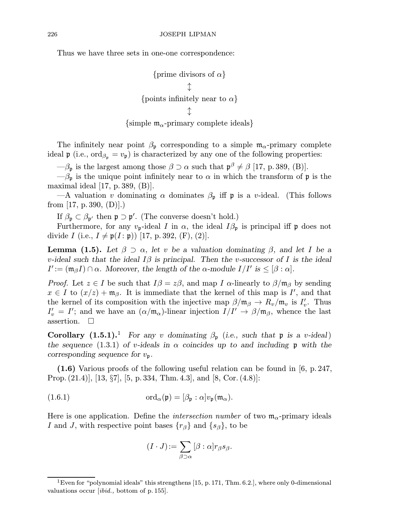Thus we have three sets in one-one correspondence:

{prime divisors of 
$$
\alpha
$$
}  
\n $\updownarrow$   
\n{points infinitely near to  $\alpha$ }  
\n{simple m <sub>$\alpha$</sub> -primary complete ideals}

The infinitely near point  $\beta_{p}$  corresponding to a simple  $\mathfrak{m}_{\alpha}$ -primary complete ideal  $\mathfrak{p}$  (i.e., ord<sub> $\beta_{\mathfrak{p}} = v_{\mathfrak{p}}$ ) is characterized by any one of the following properties:</sub>

 $-\beta_{\mathfrak{p}}$  is the largest among those  $\beta \supset \alpha$  such that  $\mathfrak{p}^{\beta} \neq \beta$  [17, p. 389, (B)].

 $-\beta_{p}$  is the unique point infinitely near to  $\alpha$  in which the transform of  $p$  is the maximal ideal [17, p. 389, (B)].

—A valuation v dominating  $\alpha$  dominates  $\beta_{p}$  iff p is a v-ideal. (This follows from [17, p. 390,  $(D)$ ].)

If  $\beta_{\mathfrak{p}} \subset \beta_{\mathfrak{p}'}$  then  $\mathfrak{p} \supset \mathfrak{p}'$ . (The converse doesn't hold.)

Furthermore, for any  $v_p$ -ideal I in  $\alpha$ , the ideal  $I\beta_p$  is principal iff p does not divide I (i.e.,  $I \neq \mathfrak{p}(I : \mathfrak{p})$ ) [17, p. 392, (F), (2)].

**Lemma (1.5).** Let  $\beta \supset \alpha$ , let v be a valuation dominating  $\beta$ , and let I be a v-ideal such that the ideal  $I\beta$  is principal. Then the v-successor of I is the ideal  $I':=(\mathfrak{m}_{\beta}I)\cap\alpha$ . Moreover, the length of the  $\alpha$ -module  $I/I'$  is  $\leq [\beta:\alpha]$ .

*Proof.* Let  $z \in I$  be such that  $I\beta = z\beta$ , and map I  $\alpha$ -linearly to  $\beta/\mathfrak{m}_{\beta}$  by sending  $x \in I$  to  $(x/z) + \mathfrak{m}_{\beta}$ . It is immediate that the kernel of this map is I', and that the kernel of its composition with the injective map  $\beta/\mathfrak{m}_{\beta} \to R_v/\mathfrak{m}_v$  is  $I'_v$ . Thus  $I'_v = I'$ ; and we have an  $(\alpha/\mathfrak{m}_{\alpha})$ -linear injection  $I/I' \to \beta/\mathfrak{m}_{\beta}$ , whence the last assertion.  $\square$ 

Corollary  $(1.5.1).$ <sup>1</sup> For any v dominating  $\beta_{\mathfrak{p}}$  (i.e., such that  $\mathfrak{p}$  is a v-ideal) the sequence (1.3.1) of v-ideals in  $\alpha$  coincides up to and including p with the corresponding sequence for  $v_{\mathfrak{p}}$ .

(1.6) Various proofs of the following useful relation can be found in [6, p.247, Prop.(21.4)], [13, §7], [5, p.334, Thm.4.3], and [8, Cor.(4.8)]:

(1.6.1) 
$$
\mathrm{ord}_{\alpha}(\mathfrak{p})=[\beta_{\mathfrak{p}}:\alpha]v_{\mathfrak{p}}(\mathfrak{m}_{\alpha}).
$$

Here is one application. Define the *intersection number* of two  $m_{\alpha}$ -primary ideals I and J, with respective point bases  $\{r_\beta\}$  and  $\{s_\beta\}$ , to be

$$
(I \cdot J) := \sum_{\beta \supset \alpha} [\beta : \alpha] r_{\beta} s_{\beta}.
$$

<sup>&</sup>lt;sup>1</sup>Even for "polynomial ideals" this strengthens [15, p. 171, Thm. 6.2.], where only 0-dimensional valuations occur [ibid., bottom of p. 155].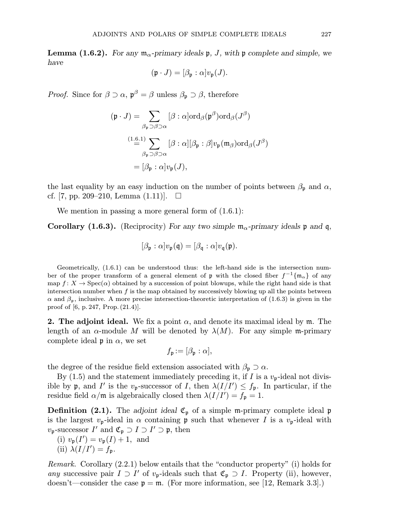**Lemma (1.6.2).** For any  $\mathfrak{m}_{\alpha}$ -primary ideals  $\mathfrak{p}$ , J, with  $\mathfrak{p}$  complete and simple, we have

$$
(\mathfrak{p} \cdot J) = [\beta_{\mathfrak{p}} : \alpha] v_{\mathfrak{p}}(J).
$$

*Proof.* Since for  $\beta \supset \alpha$ ,  $\mathfrak{p}^{\beta} = \beta$  unless  $\beta_{\mathfrak{p}} \supset \beta$ , therefore

$$
(\mathfrak{p} \cdot J) = \sum_{\beta_{\mathfrak{p}} \supset \beta \supset \alpha} [\beta : \alpha] \text{ord}_{\beta}(\mathfrak{p}^{\beta}) \text{ord}_{\beta}(J^{\beta})
$$

$$
\stackrel{(1.6.1)}{=} \sum_{\beta_{\mathfrak{p}} \supset \beta \supset \alpha} [\beta : \alpha] [\beta_{\mathfrak{p}} : \beta] v_{\mathfrak{p}}(\mathfrak{m}_{\beta}) \text{ord}_{\beta}(J^{\beta})
$$

$$
= [\beta_{\mathfrak{p}} : \alpha] v_{\mathfrak{p}}(J),
$$

the last equality by an easy induction on the number of points between  $\beta_{p}$  and  $\alpha$ , cf. [7, pp. 209–210, Lemma  $(1.11)$ ].  $\Box$ 

We mention in passing a more general form of  $(1.6.1)$ :

**Corollary (1.6.3).** (Reciprocity) For any two simple  $\mathfrak{m}_{\alpha}$ -primary ideals p and q,

$$
[\beta_{\mathfrak{p}}:\alpha]v_{\mathfrak{p}}(\mathfrak{q})=[\beta_{\mathfrak{q}}:\alpha]v_{\mathfrak{q}}(\mathfrak{p}).
$$

Geometrically, (1.6.1) can be understood thus: the left-hand side is the intersection number of the proper transform of a general element of p with the closed fiber  $f^{-1}{m_{\alpha}}$  of any map  $f: X \to \text{Spec}(\alpha)$  obtained by a succession of point blowups, while the right hand side is that intersection number when  $f$  is the map obtained by successively blowing up all the points between  $\alpha$  and  $\beta_p$ , inclusive. A more precise intersection-theoretic interpretation of (1.6.3) is given in the proof of [6, p. 247, Prop. (21.4)].

**2. The adjoint ideal.** We fix a point  $\alpha$ , and denote its maximal ideal by m. The length of an  $\alpha$ -module M will be denoted by  $\lambda(M)$ . For any simple m-primary complete ideal  $\mathfrak p$  in  $\alpha$ , we set

$$
f_{\mathfrak{p}} := [\beta_{\mathfrak{p}} : \alpha],
$$

the degree of the residue field extension associated with  $\beta_{p} \supset \alpha$ .

By  $(1.5)$  and the statement immediately preceding it, if I is a  $v_{p}$ -ideal not divisible by  $\mathfrak p$ , and  $I'$  is the  $v_{\mathfrak p}$ -successor of I, then  $\lambda(I/I') \leq f_{\mathfrak p}$ . In particular, if the residue field  $\alpha/\mathfrak{m}$  is algebraically closed then  $\lambda(I/I') = f_{\mathfrak{p}} = 1$ .

**Definition (2.1).** The adjoint ideal  $\mathfrak{C}_p$  of a simple m-primary complete ideal p is the largest  $v_p$ -ideal in  $\alpha$  containing p such that whenever I is a  $v_p$ -ideal with  $v_{\mathfrak{p}}$ -successor  $I'$  and  $\mathfrak{C}_{\mathfrak{p}} \supset I \supset I' \supset \mathfrak{p}$ , then

- (i)  $v_{\mathfrak{p}}(I') = v_{\mathfrak{p}}(I) + 1$ , and
- (ii)  $\lambda(I/I') = f_{\mathfrak{p}}$ .

Remark. Corollary (2.2.1) below entails that the "conductor property" (i) holds for any successive pair  $I \supset I'$  of  $v_{p}$ -ideals such that  $\mathfrak{C}_{p} \supset I$ . Property (ii), however, doesn't—consider the case  $p = m$ . (For more information, see [12, Remark 3.3].)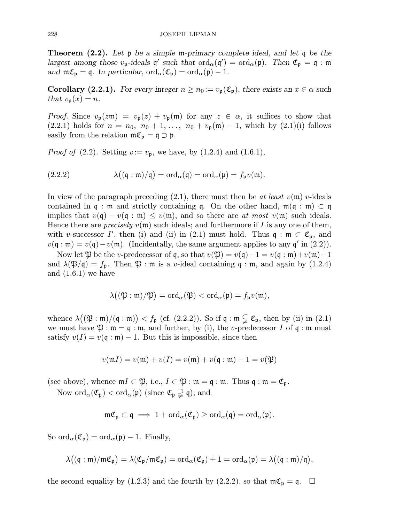**Theorem (2.2).** Let  $\mathfrak{p}$  be a simple m-primary complete ideal, and let  $\mathfrak{q}$  be the largest among those  $v_{\mathfrak{p}}$ -ideals  $\mathfrak{q}'$  such that  $\text{ord}_{\alpha}(\mathfrak{q}') = \text{ord}_{\alpha}(\mathfrak{p})$ . Then  $\mathfrak{C}_{\mathfrak{p}} = \mathfrak{q}$ : m and  $\mathfrak{m}\mathfrak{C}_{\mathfrak{p}}=\mathfrak{q}$ . In particular,  $\text{ord}_{\alpha}(\mathfrak{C}_{\mathfrak{p}})=\text{ord}_{\alpha}(\mathfrak{p})-1$ .

**Corollary (2.2.1).** For every integer  $n \geq n_0 := v_p(\mathfrak{C}_p)$ , there exists an  $x \in \alpha$  such that  $v_{\mathfrak{p}}(x) = n$ .

*Proof.* Since  $v_{\mathfrak{p}}(z\mathfrak{m}) = v_{\mathfrak{p}}(z) + v_{\mathfrak{p}}(\mathfrak{m})$  for any  $z \in \alpha$ , it suffices to show that  $(2.2.1)$  holds for  $n = n_0, n_0 + 1, \ldots, n_0 + v_p(\mathfrak{m}) - 1$ , which by  $(2.1)(i)$  follows easily from the relation  $m\mathfrak{C}_{\mathfrak{p}} = \mathfrak{q} \supset \mathfrak{p}$ .

*Proof of* (2.2). Setting  $v := v_p$ , we have, by (1.2.4) and (1.6.1),

(2.2.2) 
$$
\lambda((\mathfrak{q} : \mathfrak{m})/\mathfrak{q}) = ord_{\alpha}(\mathfrak{q}) = ord_{\alpha}(\mathfrak{p}) = f_{\mathfrak{p}}v(\mathfrak{m}).
$$

In view of the paragraph preceding (2.1), there must then be at least  $v(\mathfrak{m})$  v-ideals contained in q : m and strictly containing q. On the other hand,  $m(q : m) \subset q$ implies that  $v(\mathfrak{q}) - v(\mathfrak{q} : \mathfrak{m}) \leq v(\mathfrak{m})$ , and so there are at most  $v(\mathfrak{m})$  such ideals. Hence there are *precisely*  $v(\mathfrak{m})$  such ideals; and furthermore if I is any one of them, with v-successor I', then (i) and (ii) in (2.1) must hold. Thus  $\mathfrak{q} : \mathfrak{m} \subset \mathfrak{C}_{\mathfrak{p}},$  and  $v(\mathfrak{q} : \mathfrak{m}) = v(\mathfrak{q}) - v(\mathfrak{m})$ . (Incidentally, the same argument applies to any  $\mathfrak{q}'$  in (2.2)).

Now let  $\mathfrak P$  be the *v*-predecessor of q, so that  $v(\mathfrak P) = v(\mathfrak q) - 1 = v(\mathfrak q : \mathfrak m) + v(\mathfrak m) - 1$ and  $\lambda(\mathfrak{P}/\mathfrak{q}) = f_{\mathfrak{p}}$ . Then  $\mathfrak{P}$  :  $\mathfrak{m}$  is a v-ideal containing  $\mathfrak{q}$  :  $\mathfrak{m}$ , and again by (1.2.4) and  $(1.6.1)$  we have

$$
\lambda\big((\mathfrak{P}:\mathfrak{m})/\mathfrak{P}\big)=\mathrm{ord}_{\alpha}(\mathfrak{P})<\mathrm{ord}_{\alpha}(\mathfrak{p})=f_{\mathfrak{p}}v(\mathfrak{m}),
$$

whence  $\lambda((\mathfrak{P}:\mathfrak{m})/(\mathfrak{q}:\mathfrak{m})) < f_{\mathfrak{p}}$  (cf. (2.2.2)). So if  $\mathfrak{q}:\mathfrak{m} \subsetneq \mathfrak{C}_{\mathfrak{p}}$ , then by (ii) in (2.1) we must have  $\mathfrak{P} : \mathfrak{m} = \mathfrak{q} : \mathfrak{m}$ , and further, by (i), the *v*-predecessor I of  $\mathfrak{q} : \mathfrak{m}$  must satisfy  $v(I) = v(q : \mathfrak{m}) - 1$ . But this is impossible, since then

$$
v(\mathfrak{m} I) = v(\mathfrak{m}) + v(I) = v(\mathfrak{m}) + v(\mathfrak{q} : \mathfrak{m}) - 1 = v(\mathfrak{P})
$$

(see above), whence  $mI \subset \mathfrak{P}$ , i.e.,  $I \subset \mathfrak{P} : \mathfrak{m} = \mathfrak{q} : \mathfrak{m}$ . Thus  $\mathfrak{q} : \mathfrak{m} = \mathfrak{C}_{\mathfrak{p}}$ .

Now  $\text{ord}_{\alpha}(\mathfrak{C}_{\mathfrak{p}}) < \text{ord}_{\alpha}(\mathfrak{p})$  (since  $\mathfrak{C}_{\mathfrak{p}} \supsetneq \mathfrak{q}$ ); and

$$
\mathfrak{m}\mathfrak{C}_{\mathfrak{p}}\subset\mathfrak{q}\implies 1+\mathrm{ord}_{\alpha}(\mathfrak{C}_{\mathfrak{p}})\geq\mathrm{ord}_{\alpha}(\mathfrak{q})=\mathrm{ord}_{\alpha}(\mathfrak{p}).
$$

So  $\text{ord}_{\alpha}(\mathfrak{C}_{\mathfrak{p}}) = \text{ord}_{\alpha}(\mathfrak{p}) - 1$ . Finally,

$$
\lambda\big((\mathfrak{q}:\mathfrak{m})/\mathfrak{m}\mathfrak{C}_{\mathfrak{p}}\big)=\lambda(\mathfrak{C}_{\mathfrak{p}}/\mathfrak{m}\mathfrak{C}_{\mathfrak{p}})=\mathrm{ord}_{\alpha}(\mathfrak{C}_{\mathfrak{p}})+1=\mathrm{ord}_{\alpha}(\mathfrak{p})=\lambda\big((\mathfrak{q}:\mathfrak{m})/\mathfrak{q}\big),
$$

the second equality by (1.2.3) and the fourth by (2.2.2), so that  $m\mathfrak{C}_{\mathfrak{p}} = \mathfrak{q}$ .  $\Box$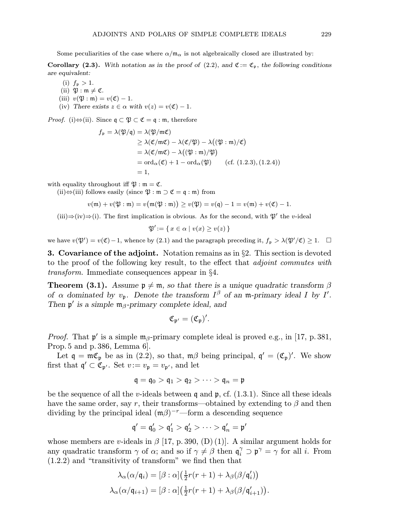Some peculiarities of the case where  $\alpha/m_{\alpha}$  is not algebraically closed are illustrated by:

Corollary (2.3). With notation as in the proof of (2.2), and  $\mathfrak{C} := \mathfrak{C}_{\mathfrak{p}}$ , the following conditions are equivalent:

(i)  $f_{\mathfrak{p}} > 1$ .

- (ii)  $\mathfrak{P}: \mathfrak{m} \neq \mathfrak{C}.$
- (iii)  $v(\mathfrak{P} : \mathfrak{m}) = v(\mathfrak{C}) 1.$
- (iv) There exists  $z \in \alpha$  with  $v(z) = v(\mathfrak{C}) 1$ .

*Proof.* (i) $\Leftrightarrow$ (ii). Since  $\mathfrak{q} \subset \mathfrak{P} \subset \mathfrak{C} = \mathfrak{q} : \mathfrak{m}$ , therefore

$$
f_{\mathfrak{p}} = \lambda(\mathfrak{P}/\mathfrak{q}) = \lambda(\mathfrak{P}/\mathfrak{m}\mathfrak{C})
$$
  
\n
$$
\geq \lambda(\mathfrak{C}/\mathfrak{m}\mathfrak{C}) - \lambda(\mathfrak{C}/\mathfrak{P}) - \lambda((\mathfrak{P} : \mathfrak{m})/\mathfrak{C})
$$
  
\n
$$
= \lambda(\mathfrak{C}/\mathfrak{m}\mathfrak{C}) - \lambda((\mathfrak{P} : \mathfrak{m})/\mathfrak{P})
$$
  
\n
$$
= \text{ord}_{\alpha}(\mathfrak{C}) + 1 - \text{ord}_{\alpha}(\mathfrak{P}) \qquad (\text{cf. (1.2.3), (1.2.4)})
$$
  
\n
$$
= 1,
$$

with equality throughout iff  $\mathfrak{P} : \mathfrak{m} = \mathfrak{C}$ .

(ii)⇔(iii) follows easily (since  $\mathfrak{P} : \mathfrak{m} \supset \mathfrak{C} = \mathfrak{q} : \mathfrak{m}$ ) from

$$
v(\mathfrak{m}) + v(\mathfrak{P} : \mathfrak{m}) = v(\mathfrak{m}(\mathfrak{P} : \mathfrak{m})) \ge v(\mathfrak{P}) = v(\mathfrak{q}) - 1 = v(\mathfrak{m}) + v(\mathfrak{C}) - 1.
$$

(iii)⇒(iv)⇒(i). The first implication is obvious. As for the second, with  $\mathfrak{P}'$  the v-ideal

$$
\mathfrak{P}' \! := \{ \, x \in \alpha \mid v(x) \geq v(z) \, \}
$$

we have  $v(\mathfrak{P}') = v(\mathfrak{C}) - 1$ , whence by (2.1) and the paragraph preceding it,  $f_{\mathfrak{p}} > \lambda(\mathfrak{P}'/\mathfrak{C}) \geq 1$ .  $\Box$ 

**3. Covariance of the adjoint.** Notation remains as in  $\S$ 2. This section is devoted to the proof of the following key result, to the effect that adjoint commutes with transform. Immediate consequences appear in §4.

**Theorem (3.1).** Assume  $\mathfrak{p} \neq \mathfrak{m}$ , so that there is a unique quadratic transform  $\beta$ of  $\alpha$  dominated by  $v_{\mathfrak{p}}$ . Denote the transform  $I^{\beta}$  of an m-primary ideal I by I'. Then  $\mathfrak{p}'$  is a simple  $\mathfrak{m}_\beta$ -primary complete ideal, and

$$
\mathfrak{C}_{\mathfrak{p}'}=(\mathfrak{C}_{\mathfrak{p}})'.
$$

*Proof.* That  $\mathfrak{p}'$  is a simple  $\mathfrak{m}_{\beta}$ -primary complete ideal is proved e.g., in [17, p. 381, Prop.5 and p. 386, Lemma 6].

Let  $\mathfrak{q} = \mathfrak{m} \mathfrak{C}_{\mathfrak{p}}$  be as in (2.2), so that,  $\mathfrak{m} \beta$  being principal,  $\mathfrak{q}' = (\mathfrak{C}_{\mathfrak{p}})'$ . We show first that  $\mathfrak{q}' \subset \mathfrak{C}_{\mathfrak{p}'}.$  Set  $v := v_{\mathfrak{p}} = v_{\mathfrak{p}'},$  and let

$$
\mathfrak{q}=\mathfrak{q}_0>\mathfrak{q}_1>\mathfrak{q}_2>\cdots>\mathfrak{q}_n=\mathfrak{p}
$$

be the sequence of all the v-ideals between q and  $\mathfrak{p}$ , cf. (1.3.1). Since all these ideals have the same order, say r, their transforms—obtained by extending to  $\beta$  and then dividing by the principal ideal  $(m\beta)^{-r}$ —form a descending sequence

$$
\mathfrak{q}'=\mathfrak{q}'_0>\mathfrak{q}'_1>\mathfrak{q}'_2>\cdots>\mathfrak{q}'_n=\mathfrak{p}'
$$

whose members are v-ideals in  $\beta$  [17, p. 390, (D) (1)]. A similar argument holds for any quadratic transform  $\gamma$  of  $\alpha$ ; and so if  $\gamma \neq \beta$  then  $\mathfrak{q}_i^{\gamma} \supset \mathfrak{p}^{\gamma} = \gamma$  for all *i*. From (1.2.2) and "transitivity of transform" we find then that

$$
\lambda_{\alpha}(\alpha/\mathfrak{q}_i) = [\beta : \alpha] \left(\frac{1}{2}r(r+1) + \lambda_{\beta}(\beta/\mathfrak{q}'_i)\right)
$$

$$
\lambda_{\alpha}(\alpha/\mathfrak{q}_{i+1}) = [\beta : \alpha] \left(\frac{1}{2}r(r+1) + \lambda_{\beta}(\beta/\mathfrak{q}'_{i+1})\right).
$$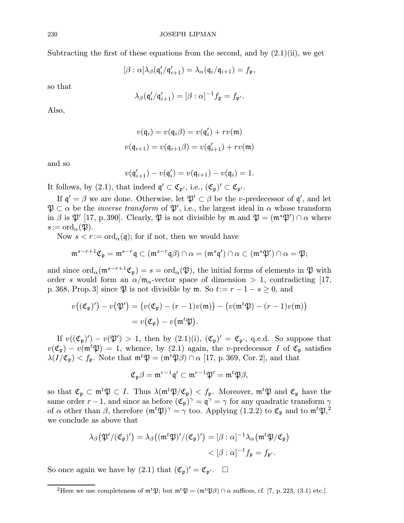Subtracting the first of these equations from the second, and by  $(2.1)(ii)$ , we get

$$
[\beta : \alpha] \lambda_{\beta}(\mathfrak{q}'_i/\mathfrak{q}'_{i+1}) = \lambda_{\alpha}(\mathfrak{q}_i/\mathfrak{q}_{i+1}) = f_{\mathfrak{p}},
$$

so that

$$
\lambda_{\beta}(\mathfrak{q}'_i/\mathfrak{q}'_{i+1}) = [\beta : \alpha]^{-1} f_{\mathfrak{p}} = f_{\mathfrak{p}'}.
$$

Also,

$$
v(\mathfrak{q}_i) = v(\mathfrak{q}_i \beta) = v(\mathfrak{q}'_i) + rv(\mathfrak{m})
$$

$$
v(\mathfrak{q}_{i+1}) = v(\mathfrak{q}_{i+1} \beta) = v(\mathfrak{q}'_{i+1}) + rv(\mathfrak{m})
$$

and so

$$
v(\mathfrak{q}'_{i+1}) - v(\mathfrak{q}'_i) = v(\mathfrak{q}_{i+1}) - v(\mathfrak{q}_i) = 1.
$$

It follows, by (2.1), that indeed  $\mathfrak{q}' \subset \mathfrak{C}_{\mathfrak{p}'},$  i.e.,  $(\mathfrak{C}_{\mathfrak{p}})' \subset \mathfrak{C}_{\mathfrak{p}'}.$ 

If  $\mathfrak{q}' = \beta$  we are done. Otherwise, let  $\mathfrak{P}' \subset \beta$  be the v-predecessor of  $\mathfrak{q}'$ , and let  $\mathfrak{P} \subset \alpha$  be the *inverse transform* of  $\mathfrak{P}',$  i.e., the largest ideal in  $\alpha$  whose transform in  $\beta$  is  $\mathfrak{P}'$  [17, p. 390]. Clearly,  $\mathfrak{P}$  is not divisible by m and  $\mathfrak{P} = (\mathfrak{m}^s \mathfrak{P}') \cap \alpha$  where  $s:=\mathrm{ord}_{\alpha}(\mathfrak{P}).$ 

Now  $s < r := \text{ord}_{\alpha}(\mathfrak{q})$ ; for if not, then we would have

$$
\mathfrak{m}^{s-r+1}\mathfrak{C}_{\mathfrak{p}}=\mathfrak{m}^{s-r}\mathfrak{q}\subset (\mathfrak{m}^{s-r}\mathfrak{q}\beta)\cap \alpha=(\mathfrak{m}^s\mathfrak{q}')\cap \alpha\subset (\mathfrak{m}^s\mathfrak{P}')\cap \alpha=\mathfrak{P};
$$

and since  $\text{ord}_{\alpha}(\mathfrak{m}^{s-r+1}\mathfrak{C}_{\mathfrak{p}})=s=\text{ord}_{\alpha}(\mathfrak{P}),$  the initial forms of elements in  $\mathfrak{P}$  with order s would form an  $\alpha/\mathfrak{m}_{\alpha}$ -vector space of dimension  $> 1$ , contradicting [17, p. 368, Prop. 3] since  $\mathfrak P$  is not divisible by  $\mathfrak m$ . So  $t:= r-1-s\geq 0$ , and

$$
v((\mathfrak{C}_{\mathfrak{p}})') - v(\mathfrak{P}') = (v(\mathfrak{C}_{\mathfrak{p}}) - (r-1)v(\mathfrak{m})) - (v(\mathfrak{m}^t \mathfrak{P}) - (r-1)v(\mathfrak{m}))
$$
  
= 
$$
v(\mathfrak{C}_{\mathfrak{p}}) - v(\mathfrak{m}^t \mathfrak{P}).
$$

If  $v((\mathfrak{C}_{\mathfrak{p}})') - v(\mathfrak{P}') > 1$ , then by  $(2.1)(i)$ ,  $(\mathfrak{C}_{\mathfrak{p}})' = \mathfrak{C}_{\mathfrak{p}'}$ , q.e.d. So suppose that  $v(\mathfrak{C}_{\mathfrak{p}}) - v(\mathfrak{m}^t \mathfrak{P}) = 1$ , whence, by (2.1) again, the v-predecessor I of  $\mathfrak{C}_{\mathfrak{p}}$  satisfies  $\lambda(I/\mathfrak{C}_{\mathfrak{p}}) < f_{\mathfrak{p}}$ . Note that  $\mathfrak{m}^t \mathfrak{P} = (\mathfrak{m}^t \mathfrak{P} \beta) \cap \alpha$  [17, p. 369, Cor. 2], and that

$$
\mathfrak{C}_{\mathfrak{p}}\beta=\mathfrak{m}^{r-1}\mathfrak{q}'\subset \mathfrak{m}^{r-1}\mathfrak{P}'=\mathfrak{m}^t\mathfrak{P}\beta,
$$

so that  $\mathfrak{C}_{\mathfrak{p}} \subset \mathfrak{m}^t \mathfrak{P} \subset I$ . Thus  $\lambda(\mathfrak{m}^t \mathfrak{P}/\mathfrak{C}_{\mathfrak{p}}) < f_{\mathfrak{p}}$ . Moreover,  $\mathfrak{m}^t \mathfrak{P}$  and  $\mathfrak{C}_{\mathfrak{p}}$  have the same order  $r-1$ , and since as before  $(\mathfrak{C}_{\mathfrak{p}})^{\gamma} = \mathfrak{q}^{\gamma} = \gamma$  for any quadratic transform  $\gamma$ of  $\alpha$  other than  $\beta$ , therefore  $(\mathfrak{m}^t \mathfrak{P})^{\gamma} = \gamma$  too. Applying  $(1.2.2)$  to  $\mathfrak{C}_{\mathfrak{p}}$  and to  $\mathfrak{m}^t \mathfrak{P},^2$ we conclude as above that

$$
\lambda_{\beta}(\mathfrak{P}'/(\mathfrak{C}_{\mathfrak{p}})') = \lambda_{\beta}((\mathfrak{m}^t \mathfrak{P})'/(\mathfrak{C}_{\mathfrak{p}})') = [\beta : \alpha]^{-1} \lambda_{\alpha}(\mathfrak{m}^t \mathfrak{P}/\mathfrak{C}_{\mathfrak{p}})
$$
  

$$
< [\beta : \alpha]^{-1} f_{\mathfrak{p}} = f_{\mathfrak{p}'}.
$$

So once again we have by  $(2.1)$  that  $(\mathfrak{C}_{\mathfrak{p}})' = \mathfrak{C}_{\mathfrak{p}'}. \quad \Box$ 

<sup>&</sup>lt;sup>2</sup>Here we use completeness of  $\mathfrak{m}^t \mathfrak{P}$ ; but  $\mathfrak{m}^t \mathfrak{P} = (\mathfrak{m}^t \mathfrak{P} \beta) \cap \alpha$  suffices, cf. [7, p. 223, (3.1) etc.].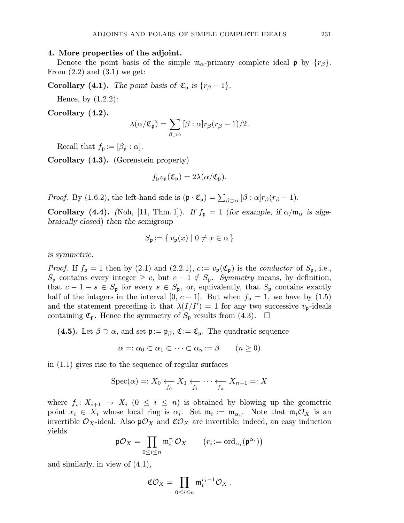### 4. More properties of the adjoint.

Denote the point basis of the simple  $m_{\alpha}$ -primary complete ideal p by  $\{r_{\beta}\}.$ From  $(2.2)$  and  $(3.1)$  we get:

**Corollary (4.1).** The point basis of  $\mathfrak{C}_{\mathfrak{p}}$  is  $\{r_{\beta}-1\}$ .

Hence, by (1.2.2):

Corollary (4.2).

$$
\lambda(\alpha/\mathfrak{C}_{\mathfrak{p}})=\sum_{\beta\supset\alpha}[\beta:\alpha]r_{\beta}(r_{\beta}-1)/2.
$$

Recall that  $f_{\mathfrak{p}} := [\beta_{\mathfrak{p}} : \alpha].$ 

Corollary (4.3). (Gorenstein property)

$$
f_{\mathfrak{p}}v_{\mathfrak{p}}(\mathfrak{C}_{\mathfrak{p}})=2\lambda(\alpha/\mathfrak{C}_{\mathfrak{p}}).
$$

*Proof.* By (1.6.2), the left-hand side is  $(\mathfrak{p} \cdot \mathfrak{C}_{\mathfrak{p}}) = \sum_{\beta \supset \alpha} [\beta : \alpha] r_{\beta} (r_{\beta} - 1)$ .

**Corollary (4.4).** (Noh, [11, Thm. 1]). If  $f_p = 1$  (for example, if  $\alpha/\mathfrak{m}_{\alpha}$  is algebraically closed) then the semigroup

$$
S_{\mathfrak{p}} := \{ v_{\mathfrak{p}}(x) \mid 0 \neq x \in \alpha \}
$$

is symmetric.

*Proof.* If  $f_{\mathfrak{p}} = 1$  then by (2.1) and (2.2.1),  $c := v_{\mathfrak{p}}(\mathfrak{C}_{\mathfrak{p}})$  is the conductor of  $S_{\mathfrak{p}}$ , i.e.,  $S_{\mathfrak{p}}$  contains every integer  $\geq c$ , but  $c-1 \notin S_{\mathfrak{p}}$ . Symmetry means, by definition, that  $c - 1 - s \in S_p$  for every  $s \in S_p$ , or, equivalently, that  $S_p$  contains exactly half of the integers in the interval [0,  $c-1$ ]. But when  $f_{\mathfrak{p}} = 1$ , we have by (1.5) and the statement preceding it that  $\lambda(I/I') = 1$  for any two successive  $v_{\mathfrak{p}}$ -ideals containing  $\mathfrak{C}_{\mathfrak{p}}$ . Hence the symmetry of  $S_{\mathfrak{p}}$  results from (4.3).  $\Box$ 

(4.5). Let  $\beta \supset \alpha$ , and set  $\mathfrak{p} := \mathfrak{p}_{\beta}$ ,  $\mathfrak{C} := \mathfrak{C}_{\mathfrak{p}}$ . The quadratic sequence

$$
\alpha =: \alpha_0 \subset \alpha_1 \subset \cdots \subset \alpha_n := \beta \qquad (n \ge 0)
$$

in (1.1) gives rise to the sequence of regular surfaces

$$
\operatorname{Spec}(\alpha) =: X_0 \underset{f_0}{\longleftarrow} X_1 \underset{f_1}{\longleftarrow} \cdots \underset{f_n}{\longleftarrow} X_{n+1} =: X
$$

where  $f_i: X_{i+1} \to X_i$   $(0 \leq i \leq n)$  is obtained by blowing up the geometric point  $x_i \in X_i$  whose local ring is  $\alpha_i$ . Set  $\mathfrak{m}_i := \mathfrak{m}_{\alpha_i}$ . Note that  $\mathfrak{m}_i \mathcal{O}_X$  is an invertible  $\mathcal{O}_X$ -ideal. Also  $\mathfrak{p}\mathcal{O}_X$  and  $\mathfrak{C}\mathcal{O}_X$  are invertible; indeed, an easy induction yields

$$
\mathfrak{p}\mathcal{O}_X=\prod_{0\leq i\leq n}\mathfrak{m}_i^{r_i}\mathcal{O}_X\qquad \big(r_i:=\mathrm{ord}_{\alpha_i}(\mathfrak{p}^{\alpha_i})\big)
$$

and similarly, in view of (4.1),

$$
\mathfrak{C} \mathcal{O}_X = \prod_{0 \leq i \leq n} \mathfrak{m}_i^{r_i - 1} \mathcal{O}_X \,.
$$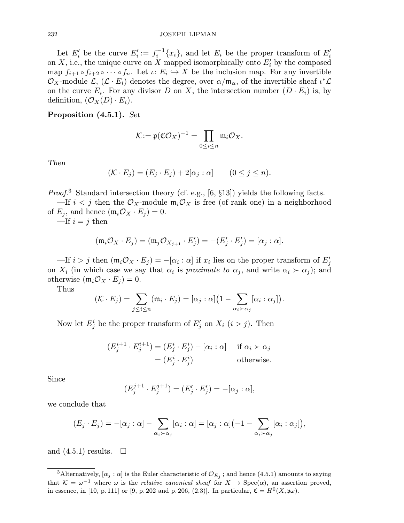#### 232 JOSEPH LIPMAN

Let  $E_i'$  be the curve  $E_i' := f_i^{-1}\{x_i\}$ , and let  $E_i$  be the proper transform of  $E_i'$ on X, i.e., the unique curve on X mapped isomorphically onto  $E'_i$  by the composed map  $f_{i+1} \circ f_{i+2} \circ \cdots \circ f_n$ . Let  $\iota: E_i \hookrightarrow X$  be the inclusion map. For any invertible  $\mathcal{O}_X$ -module  $\mathcal{L}, (\mathcal{L} \cdot E_i)$  denotes the degree, over  $\alpha/\mathfrak{m}_{\alpha}$ , of the invertible sheaf  $\iota^*\mathcal{L}$ on the curve  $E_i$ . For any divisor D on X, the intersection number  $(D \cdot E_i)$  is, by definition,  $(\mathcal{O}_X(D) \cdot E_i)$ .

Proposition (4.5.1). Set

$$
\mathcal{K}:=\mathfrak{p}(\mathfrak{C} \mathcal{O}_X)^{-1}=\prod_{0\leq i\leq n} \mathfrak{m}_i \mathcal{O}_X.
$$

Then

$$
(\mathcal{K} \cdot E_j) = (E_j \cdot E_j) + 2[\alpha_j : \alpha] \qquad (0 \le j \le n).
$$

*Proof.*<sup>3</sup> Standard intersection theory (cf. e.g., [6,  $\S13$ ]) yields the following facts.

—If  $i < j$  then the  $\mathcal{O}_X$ -module  $\mathfrak{m}_i\mathcal{O}_X$  is free (of rank one) in a neighborhood of  $E_j$ , and hence  $(\mathfrak{m}_i \mathcal{O}_X \cdot E_j) = 0$ .

—If  $i = j$  then

$$
(\mathfrak{m}_i \mathcal{O}_X \cdot E_j) = (\mathfrak{m}_j \mathcal{O}_{X_{j+1}} \cdot E'_j) = -(E'_j \cdot E'_j) = [\alpha_j : \alpha].
$$

 $\text{---If } i > j \text{ then } (\mathfrak{m}_i \mathcal{O}_X \cdot E_j) = -[\alpha_i : \alpha] \text{ if } x_i \text{ lies on the proper transform of } E'_j$ on  $X_i$  (in which case we say that  $\alpha_i$  is proximate to  $\alpha_j$ , and write  $\alpha_i \succ \alpha_j$ ); and otherwise  $(\mathfrak{m}_i \mathcal{O}_X \cdot E_j) = 0$ .

Thus

$$
(\mathcal{K} \cdot E_j) = \sum_{j \leq i \leq n} (\mathfrak{m}_i \cdot E_j) = [\alpha_j : \alpha] \big( 1 - \sum_{\alpha_i \succ \alpha_j} [\alpha_i : \alpha_j] \big).
$$

Now let  $E_j^i$  be the proper transform of  $E_j'$  on  $X_i$   $(i > j)$ . Then

$$
(E_j^{i+1} \cdot E_j^{i+1}) = (E_j^i \cdot E_j^i) - [\alpha_i : \alpha] \quad \text{if } \alpha_i \succ \alpha_j
$$

$$
= (E_j^i \cdot E_j^i) \quad \text{otherwise.}
$$

Since

$$
(E_j^{j+1} \cdot E_j^{j+1}) = (E'_j \cdot E'_j) = -[\alpha_j : \alpha],
$$

we conclude that

$$
(E_j \cdot E_j) = -[\alpha_j : \alpha] - \sum_{\alpha_i \succ \alpha_j} [\alpha_i : \alpha] = [\alpha_j : \alpha] \left( -1 - \sum_{\alpha_i \succ \alpha_j} [\alpha_i : \alpha_j] \right),
$$

and  $(4.5.1)$  results.  $\Box$ 

<sup>&</sup>lt;sup>3</sup>Alternatively,  $[\alpha_j : \alpha]$  is the Euler characteristic of  $\mathcal{O}_{E_j}$ ; and hence (4.5.1) amounts to saying that  $K = \omega^{-1}$  where  $\omega$  is the *relative canonical sheaf* for  $X \to \text{Spec}(\alpha)$ , an assertion proved, in essence, in [10, p. 111] or [9, p. 202 and p. 206, (2.3)]. In particular,  $\mathfrak{C} = H^{0}(X, \mathfrak{p}\omega)$ .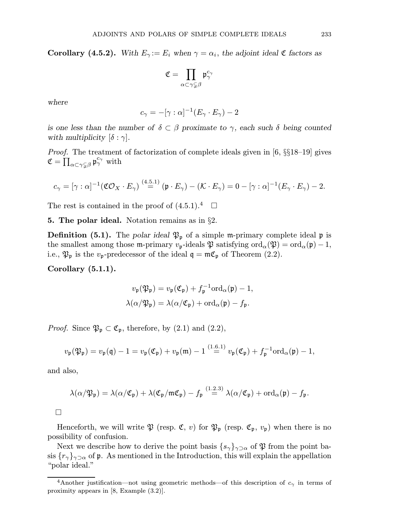**Corollary** (4.5.2). With  $E_\gamma := E_i$  when  $\gamma = \alpha_i$ , the adjoint ideal  $\mathfrak C$  factors as

$$
\mathfrak{C}=\prod_{\alpha\subset\gamma\subsetneqq\beta}\mathfrak{p}_{\gamma}^{c_{\gamma}}
$$

where

$$
c_{\gamma} = -[\gamma : \alpha]^{-1}(E_{\gamma} \cdot E_{\gamma}) - 2
$$

is one less than the number of  $\delta \subset \beta$  proximate to  $\gamma$ , each such  $\delta$  being counted with multiplicity  $[\delta : \gamma]$ .

Proof. The treatment of factorization of complete ideals given in [6, §§18–19] gives  $\mathfrak{C} = \prod_{\alpha \subset \gamma \subsetneq \beta} \mathfrak{p}^{c_{\gamma}}_{\gamma} \ \text{with}$ 

$$
c_{\gamma} = [\gamma : \alpha]^{-1} (\mathfrak{C} \mathcal{O}_X \cdot E_{\gamma}) \stackrel{(4.5.1)}{=} (\mathfrak{p} \cdot E_{\gamma}) - (\mathcal{K} \cdot E_{\gamma}) = 0 - [\gamma : \alpha]^{-1} (E_{\gamma} \cdot E_{\gamma}) - 2.
$$

The rest is contained in the proof of  $(4.5.1).4$ 

**5. The polar ideal.** Notation remains as in  $\S2$ .

**Definition** (5.1). The polar ideal  $\mathfrak{P}_p$  of a simple m-primary complete ideal p is the smallest among those m-primary  $v_{\mathfrak{p}}$ -ideals  $\mathfrak P$  satisfying  $\text{ord}_{\alpha}(\mathfrak P) = \text{ord}_{\alpha}(\mathfrak p) - 1$ , i.e.,  $\mathfrak{P}_{\mathfrak{p}}$  is the  $v_{\mathfrak{p}}$ -predecessor of the ideal  $\mathfrak{q} = \mathfrak{m} \mathfrak{C}_{\mathfrak{p}}$  of Theorem (2.2).

Corollary (5.1.1).

$$
v_{\mathfrak{p}}(\mathfrak{P}_{\mathfrak{p}}) = v_{\mathfrak{p}}(\mathfrak{C}_{\mathfrak{p}}) + f_{\mathfrak{p}}^{-1} \text{ord}_{\alpha}(\mathfrak{p}) - 1,
$$
  

$$
\lambda(\alpha/\mathfrak{P}_{\mathfrak{p}}) = \lambda(\alpha/\mathfrak{C}_{\mathfrak{p}}) + \text{ord}_{\alpha}(\mathfrak{p}) - f_{\mathfrak{p}}.
$$

*Proof.* Since  $\mathfrak{P}_{\mathfrak{p}} \subset \mathfrak{C}_{\mathfrak{p}}$ , therefore, by  $(2.1)$  and  $(2.2)$ ,

$$
v_{\mathfrak{p}}(\mathfrak{P}_{\mathfrak{p}}) = v_{\mathfrak{p}}(\mathfrak{q}) - 1 = v_{\mathfrak{p}}(\mathfrak{C}_{\mathfrak{p}}) + v_{\mathfrak{p}}(\mathfrak{m}) - 1 \stackrel{(1.6.1)}{=} v_{\mathfrak{p}}(\mathfrak{C}_{\mathfrak{p}}) + f_{\mathfrak{p}}^{-1} \text{ord}_{\alpha}(\mathfrak{p}) - 1,
$$

and also,

$$
\lambda(\alpha/\mathfrak{P}_{\mathfrak{p}})=\lambda(\alpha/\mathfrak{C}_{\mathfrak{p}})+\lambda(\mathfrak{C}_{\mathfrak{p}}/\mathfrak{m}\mathfrak{C}_{\mathfrak{p}})-f_{\mathfrak{p}}\stackrel{(1.2.3)}{=} \lambda(\alpha/\mathfrak{C}_{\mathfrak{p}})+\mathrm{ord}_{\alpha}(\mathfrak{p})-f_{\mathfrak{p}}.
$$

 $\Box$ 

Henceforth, we will write  $\mathfrak P$  (resp.  $\mathfrak C, v$ ) for  $\mathfrak P_p$  (resp.  $\mathfrak C_p, v_p$ ) when there is no possibility of confusion.

Next we describe how to derive the point basis  $\{s_\gamma\}_{\gamma \supset \alpha}$  of  $\mathfrak P$  from the point basis  $\{r_\gamma\}_{\gamma \supset \alpha}$  of p. As mentioned in the Introduction, this will explain the appellation "polar ideal."

<sup>&</sup>lt;sup>4</sup>Another justification—not using geometric methods—of this description of  $c<sub>\gamma</sub>$  in terms of proximity appears in [8, Example (3.2)].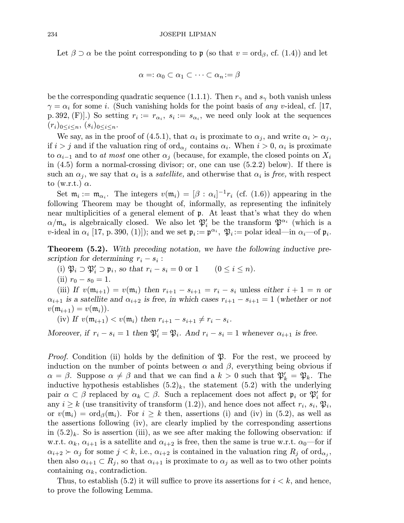Let  $\beta \supset \alpha$  be the point corresponding to p (so that  $v = \text{ord}_{\beta}$ , cf. (1.4)) and let

$$
\alpha =: \alpha_0 \subset \alpha_1 \subset \cdots \subset \alpha_n := \beta
$$

be the corresponding quadratic sequence (1.1.1). Then  $r_{\gamma}$  and  $s_{\gamma}$  both vanish unless  $\gamma = \alpha_i$  for some *i*. (Such vanishing holds for the point basis of any v-ideal, cf. [17, p. 392, (F).) So setting  $r_i := r_{\alpha_i}, s_i := s_{\alpha_i}$ , we need only look at the sequences  $(r_i)_{0 \leq i \leq n}, (s_i)_{0 \leq i \leq n}.$ 

We say, as in the proof of (4.5.1), that  $\alpha_i$  is proximate to  $\alpha_j$ , and write  $\alpha_i \succ \alpha_j$ , if  $i>j$  and if the valuation ring of ord<sub> $\alpha_i$ </sub> contains  $\alpha_i$ . When  $i > 0$ ,  $\alpha_i$  is proximate to  $\alpha_{i-1}$  and to at most one other  $\alpha_i$  (because, for example, the closed points on  $X_i$ in (4.5) form a normal-crossing divisor; or, one can use (5.2.2) below). If there is such an  $\alpha_i$ , we say that  $\alpha_i$  is a *satellite*, and otherwise that  $\alpha_i$  is free, with respect to (w.r.t.)  $\alpha$ .

Set  $\mathfrak{m}_i := \mathfrak{m}_{\alpha_i}$ . The integers  $v(\mathfrak{m}_i) = [\beta : \alpha_i]^{-1}r_i$  (cf. (1.6)) appearing in the following Theorem may be thought of, informally, as representing the infinitely near multiplicities of a general element of p. At least that's what they do when  $\alpha/\mathfrak{m}_{\alpha}$  is algebraically closed. We also let  $\mathfrak{P}'_i$  be the transform  $\mathfrak{P}^{\alpha_i}$  (which is a v-ideal in  $\alpha_i$  [17, p. 390, (1)]); and we set  $\mathfrak{p}_i := \mathfrak{p}^{\alpha_i}$ ,  $\mathfrak{P}_i := \text{polar ideal} - \text{in } \alpha_i$  of  $\mathfrak{p}_i$ .

**Theorem (5.2).** With preceding notation, we have the following inductive prescription for determining  $r_i - s_i$ :

- (i)  $\mathfrak{P}_i \supset \mathfrak{P}'_i \supset \mathfrak{p}_i$ , so that  $r_i s_i = 0$  or  $1 \qquad (0 \le i \le n)$ .
- (ii)  $r_0 s_0 = 1$ .

(iii) If  $v(\mathfrak{m}_{i+1}) = v(\mathfrak{m}_i)$  then  $r_{i+1} - s_{i+1} = r_i - s_i$  unless either  $i+1=n$  or  $\alpha_{i+1}$  is a satellite and  $\alpha_{i+2}$  is free, in which cases  $r_{i+1} - s_{i+1} = 1$  (whether or not  $v(\mathfrak{m}_{i+1}) = v(\mathfrak{m}_{i}).$ 

(iv) If  $v(\mathfrak{m}_{i+1}) < v(\mathfrak{m}_i)$  then  $r_{i+1} - s_{i+1} \neq r_i - s_i$ .

Moreover, if  $r_i - s_i = 1$  then  $\mathfrak{P}'_i = \mathfrak{P}_i$ . And  $r_i - s_i = 1$  whenever  $\alpha_{i+1}$  is free.

*Proof.* Condition (ii) holds by the definition of  $\mathfrak{P}$ . For the rest, we proceed by induction on the number of points between  $\alpha$  and  $\beta$ , everything being obvious if  $\alpha = \beta$ . Suppose  $\alpha \neq \beta$  and that we can find a  $k > 0$  such that  $\mathfrak{P}'_k = \mathfrak{P}_k$ . The inductive hypothesis establishes  $(5.2)_k$ , the statement  $(5.2)$  with the underlying pair  $\alpha \subset \beta$  replaced by  $\alpha_k \subset \beta$ . Such a replacement does not affect  $\mathfrak{p}_i$  or  $\mathfrak{P}'_i$  for any  $i \geq k$  (use transitivity of transform (1.2)), and hence does not affect  $r_i$ ,  $s_i$ ,  $\mathfrak{P}_i$ , or  $v(\mathfrak{m}_i) = \text{ord}_{\beta}(\mathfrak{m}_i)$ . For  $i \geq k$  then, assertions (i) and (iv) in (5.2), as well as the assertions following (iv), are clearly implied by the corresponding assertions in  $(5.2)_k$ . So is assertion (iii), as we see after making the following observation: if w.r.t.  $\alpha_k$ ,  $\alpha_{i+1}$  is a satellite and  $\alpha_{i+2}$  is free, then the same is true w.r.t.  $\alpha_0$ —for if  $\alpha_{i+2} \succ \alpha_j$  for some  $j < k$ , i.e.,  $\alpha_{i+2}$  is contained in the valuation ring  $R_j$  of ord<sub> $\alpha_j$ </sub>, then also  $\alpha_{i+1} \subset R_i$ , so that  $\alpha_{i+1}$  is proximate to  $\alpha_i$  as well as to two other points containing  $\alpha_k$ , contradiction.

Thus, to establish (5.2) it will suffice to prove its assertions for  $i < k$ , and hence, to prove the following Lemma.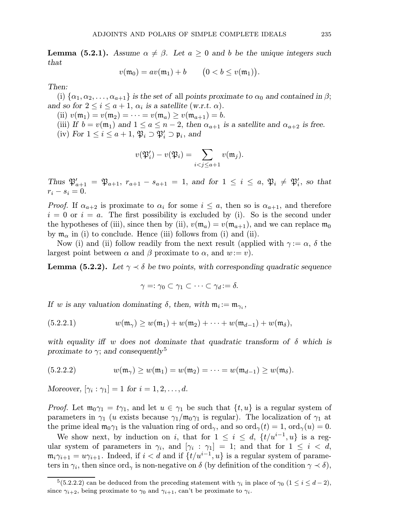**Lemma (5.2.1).** Assume  $\alpha \neq \beta$ . Let  $a \geq 0$  and b be the unique integers such that

$$
v(\mathfrak{m}_0) = av(\mathfrak{m}_1) + b \qquad (0 < b \le v(\mathfrak{m}_1)).
$$

Then:

(i)  $\{\alpha_1, \alpha_2, \ldots, \alpha_{a+1}\}\$ is the set of all points proximate to  $\alpha_0$  and contained in  $\beta$ ; and so for  $2 \leq i \leq a+1$ ,  $\alpha_i$  is a satellite (w.r.t.  $\alpha$ ).

- (ii)  $v(\mathfrak{m}_1) = v(\mathfrak{m}_2) = \cdots = v(\mathfrak{m}_a) \ge v(\mathfrak{m}_{a+1}) = b.$
- (iii) If  $b = v(\mathfrak{m}_1)$  and  $1 \le a \le n-2$ , then  $\alpha_{a+1}$  is a satellite and  $\alpha_{a+2}$  is free.
- (iv) For  $1 \leq i \leq a+1$ ,  $\mathfrak{P}_i \supset \mathfrak{P}'_i \supset \mathfrak{p}_i$ , and

$$
v(\mathfrak{P}_i')-v(\mathfrak{P}_i)=\sum_{i
$$

Thus  $\mathfrak{P}_{a+1}' = \mathfrak{P}_{a+1}$ ,  $r_{a+1} - s_{a+1} = 1$ , and for  $1 \leq i \leq a$ ,  $\mathfrak{P}_i \neq \mathfrak{P}'_i$ , so that  $r_i - s_i = 0.$ 

*Proof.* If  $\alpha_{a+2}$  is proximate to  $\alpha_i$  for some  $i \leq a$ , then so is  $\alpha_{a+1}$ , and therefore  $i = 0$  or  $i = a$ . The first possibility is excluded by (i). So is the second under the hypotheses of (iii), since then by (ii),  $v(\mathfrak{m}_a) = v(\mathfrak{m}_{a+1})$ , and we can replace  $\mathfrak{m}_0$ by  $\mathfrak{m}_{\alpha}$  in (i) to conclude. Hence (iii) follows from (i) and (ii).

Now (i) and (ii) follow readily from the next result (applied with  $\gamma := \alpha$ ,  $\delta$  the largest point between  $\alpha$  and  $\beta$  proximate to  $\alpha$ , and  $w:=v$ ).

**Lemma (5.2.2).** Let  $\gamma \prec \delta$  be two points, with corresponding quadratic sequence

$$
\gamma =: \gamma_0 \subset \gamma_1 \subset \cdots \subset \gamma_d := \delta.
$$

If w is any valuation dominating  $\delta$ , then, with  $\mathfrak{m}_i := \mathfrak{m}_{\gamma_i}$ ,

(5.2.2.1) 
$$
w(\mathfrak{m}_{\gamma}) \geq w(\mathfrak{m}_1) + w(\mathfrak{m}_2) + \cdots + w(\mathfrak{m}_{d-1}) + w(\mathfrak{m}_{\delta}),
$$

with equality if w does not dominate that quadratic transform of  $\delta$  which is proximate to  $\gamma$ ; and consequently<sup>5</sup>

(5.2.2.2) 
$$
w(\mathfrak{m}_{\gamma}) \ge w(\mathfrak{m}_1) = w(\mathfrak{m}_2) = \cdots = w(\mathfrak{m}_{d-1}) \ge w(\mathfrak{m}_{\delta}).
$$

Moreover,  $[\gamma_i : \gamma_1] = 1$  for  $i = 1, 2, \ldots, d$ .

*Proof.* Let  $m_0\gamma_1 = t\gamma_1$ , and let  $u \in \gamma_1$  be such that  $\{t, u\}$  is a regular system of parameters in  $\gamma_1$  (u exists because  $\gamma_1/\mathfrak{m}_0\gamma_1$  is regular). The localization of  $\gamma_1$  at the prime ideal  $m_0\gamma_1$  is the valuation ring of ord<sub>γ</sub>, and so ord<sub>γ</sub>(t) = 1, ord<sub>γ</sub>(u) = 0.

We show next, by induction on i, that for  $1 \leq i \leq d$ ,  $\{t/u^{i-1}, u\}$  is a regular system of parameters in  $\gamma_i$ , and  $[\gamma_i : \gamma_1] = 1$ ; and that for  $1 \leq i \leq d$ ,  $m_i\gamma_{i+1} = u\gamma_{i+1}$ . Indeed, if  $i < d$  and if  $\{t/u^{i-1}, u\}$  is a regular system of parameters in  $\gamma_i$ , then since ord<sub> $\gamma$ </sub> is non-negative on  $\delta$  (by definition of the condition  $\gamma \prec \delta$ ),

<sup>&</sup>lt;sup>5</sup>(5.2.2.2) can be deduced from the preceding statement with  $\gamma_i$  in place of  $\gamma_0$  (1  $\leq i \leq d-2$ ), since  $\gamma_{i+2}$ , being proximate to  $\gamma_0$  and  $\gamma_{i+1}$ , can't be proximate to  $\gamma_i$ .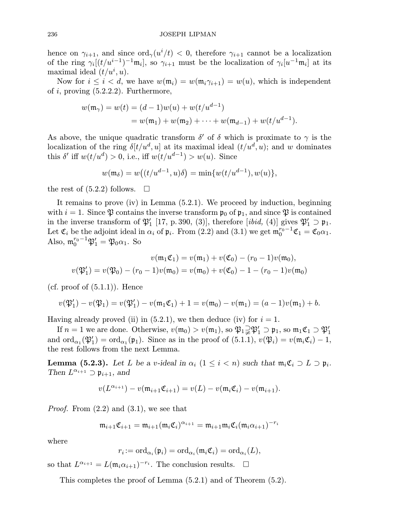hence on  $\gamma_{i+1}$ , and since  $\text{ord}_{\gamma}(u^i/t) < 0$ , therefore  $\gamma_{i+1}$  cannot be a localization of the ring  $\gamma_i[(t/u^{i-1})^{-1}\mathfrak{m}_i]$ , so  $\gamma_{i+1}$  must be the localization of  $\gamma_i[u^{-1}\mathfrak{m}_i]$  at its maximal ideal  $(t/u^i, u)$ .

Now for  $i \leq i < d$ , we have  $w(\mathfrak{m}_i) = w(\mathfrak{m}_i \gamma_{i+1}) = w(u)$ , which is independent of  $i$ , proving  $(5.2.2.2)$ . Furthermore,

$$
w(\mathfrak{m}_{\gamma}) = w(t) = (d-1)w(u) + w(t/u^{d-1})
$$
  
= 
$$
w(\mathfrak{m}_1) + w(\mathfrak{m}_2) + \cdots + w(\mathfrak{m}_{d-1}) + w(t/u^{d-1}).
$$

As above, the unique quadratic transform  $\delta'$  of  $\delta$  which is proximate to  $\gamma$  is the localization of the ring  $\delta[t/u^d, u]$  at its maximal ideal  $(t/u^d, u)$ ; and w dominates this  $\delta'$  iff  $w(t/u^d) > 0$ , i.e., iff  $w(t/u^{d-1}) > w(u)$ . Since

$$
w(\mathfrak{m}_{\delta}) = w((t/u^{d-1}, u)\delta) = \min\{w(t/u^{d-1}), w(u)\},\
$$

the rest of  $(5.2.2)$  follows.  $\square$ 

It remains to prove (iv) in Lemma (5.2.1). We proceed by induction, beginning with  $i = 1$ . Since  $\mathfrak P$  contains the inverse transform  $\mathfrak p_0$  of  $\mathfrak p_1$ , and since  $\mathfrak P$  is contained in the inverse transform of  $\mathfrak{P}'_1$  [17, p. 390, (3)], therefore [*ibid*, (4)] gives  $\mathfrak{P}'_1 \supset \mathfrak{p}_1$ . Let  $\mathfrak{C}_i$  be the adjoint ideal in  $\alpha_i$  of  $\mathfrak{p}_i$ . From (2.2) and (3.1) we get  $\mathfrak{m}_0^{r_0-1}\mathfrak{C}_1 = \mathfrak{C}_0\alpha_1$ . Also,  $\mathfrak{m}_0^{r_0-1} \mathfrak{P}_1' = \mathfrak{P}_0 \alpha_1$ . So

$$
v(\mathfrak{m}_1 \mathfrak{C}_1) = v(\mathfrak{m}_1) + v(\mathfrak{C}_0) - (r_0 - 1)v(\mathfrak{m}_0),
$$
  

$$
v(\mathfrak{P}'_1) = v(\mathfrak{P}_0) - (r_0 - 1)v(\mathfrak{m}_0) = v(\mathfrak{m}_0) + v(\mathfrak{C}_0) - 1 - (r_0 - 1)v(\mathfrak{m}_0)
$$

(cf. proof of  $(5.1.1)$ ). Hence

$$
v(\mathfrak{P}'_1) - v(\mathfrak{P}_1) = v(\mathfrak{P}'_1) - v(\mathfrak{m}_1 \mathfrak{C}_1) + 1 = v(\mathfrak{m}_0) - v(\mathfrak{m}_1) = (a-1)v(\mathfrak{m}_1) + b.
$$

Having already proved (ii) in  $(5.2.1)$ , we then deduce (iv) for  $i = 1$ .

If  $n=1$  we are done. Otherwise,  $v(\mathfrak{m}_0) > v(\mathfrak{m}_1)$ , so  $\mathfrak{P}_1 \supsetneq \mathfrak{P}_1' \supset \mathfrak{p}_1$ , so  $\mathfrak{m}_1 \mathfrak{C}_1 \supset \mathfrak{P}_1'$ and  $\text{ord}_{\alpha_1}(\mathfrak{P}'_1) = \text{ord}_{\alpha_1}(\mathfrak{p}_1)$ . Since as in the proof of  $(5.1.1), v(\mathfrak{P}_i) = v(\mathfrak{m}_i \mathfrak{C}_i) - 1$ , the rest follows from the next Lemma.

**Lemma (5.2.3).** Let L be a v-ideal in  $\alpha_i$  ( $1 \leq i \leq n$ ) such that  $\mathfrak{m}_i \mathfrak{C}_i \supset L \supset \mathfrak{p}_i$ . Then  $L^{\alpha_{i+1}} \supset \mathfrak{p}_{i+1}$ , and

$$
v(L^{\alpha_{i+1}}) - v(\mathfrak{m}_{i+1} \mathfrak{C}_{i+1}) = v(L) - v(\mathfrak{m}_{i} \mathfrak{C}_{i}) - v(\mathfrak{m}_{i+1}).
$$

*Proof.* From  $(2.2)$  and  $(3.1)$ , we see that

$$
\mathfrak{m}_{i+1}\mathfrak{C}_{i+1} = \mathfrak{m}_{i+1}(\mathfrak{m}_i \mathfrak{C}_i)^{\alpha_{i+1}} = \mathfrak{m}_{i+1}\mathfrak{m}_i \mathfrak{C}_i(\mathfrak{m}_i \alpha_{i+1})^{-r_i}
$$

where

$$
r_i := \mathrm{ord}_{\alpha_i}(\mathfrak{p}_i) = \mathrm{ord}_{\alpha_i}(\mathfrak{m}_i \mathfrak{C}_i) = \mathrm{ord}_{\alpha_i}(L),
$$

so that  $L^{\alpha_{i+1}} = L(\mathfrak{m}_i \alpha_{i+1})^{-r_i}$ . The conclusion results.  $\Box$ 

This completes the proof of Lemma (5.2.1) and of Theorem (5.2).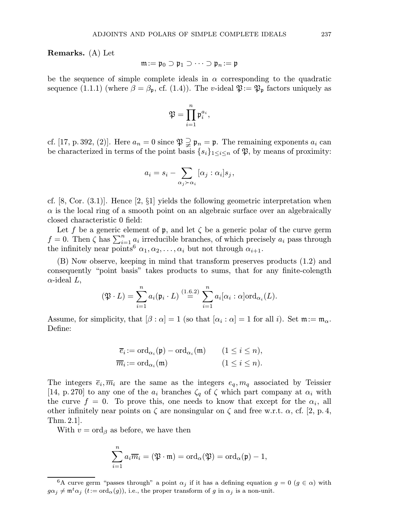Remarks. (A) Let

$$
\mathfrak{m}:=\mathfrak{p}_0\supset\mathfrak{p}_1\supset\cdots\supset\mathfrak{p}_n:=\mathfrak{p}
$$

be the sequence of simple complete ideals in  $\alpha$  corresponding to the quadratic sequence (1.1.1) (where  $\beta = \beta_{p}$ , cf. (1.4)). The v-ideal  $\mathfrak{P} := \mathfrak{P}_{p}$  factors uniquely as

$$
\mathfrak{P}=\prod_{i=1}^n \mathfrak{p}_i^{a_i},
$$

cf. [17, p. 392, (2)]. Here  $a_n = 0$  since  $\mathfrak{P} \supsetneq \mathfrak{p}_n = \mathfrak{p}$ . The remaining exponents  $a_i$  can be characterized in terms of the point basis  $\{s_i\}_{1\leq i\leq n}$  of  $\mathfrak{P}$ , by means of proximity:

$$
a_i = s_i - \sum_{\alpha_j \succ \alpha_i} [\alpha_j : \alpha_i] s_j,
$$

cf.  $[8, \text{Cor. } (3.1)]$ . Hence  $[2, \S1]$  yields the following geometric interpretation when  $\alpha$  is the local ring of a smooth point on an algebraic surface over an algebraically closed characteristic 0 field:

Let f be a generic element of  $\mathfrak p$ , and let  $\zeta$  be a generic polar of the curve germ  $f = 0$ . Then  $\zeta$  has  $\sum_{i=1}^{n} a_i$  irreducible branches, of which precisely  $a_i$  pass through the infinitely near points<sup>6</sup>  $\alpha_1, \alpha_2, \ldots, \alpha_i$  but not through  $\alpha_{i+1}$ .

(B) Now observe, keeping in mind that transform preserves products (1.2) and consequently "point basis" takes products to sums, that for any finite-colength  $\alpha$ -ideal L,

$$
(\mathfrak{P} \cdot L) = \sum_{i=1}^n a_i (\mathfrak{p}_i \cdot L) \stackrel{(1.6.2)}{=} \sum_{i=1}^n a_i [\alpha_i : \alpha] \text{ord}_{\alpha_i}(L).
$$

Assume, for simplicity, that  $[\beta : \alpha] = 1$  (so that  $[\alpha_i : \alpha] = 1$  for all i). Set  $\mathfrak{m} := \mathfrak{m}_{\alpha}$ . Define:

$$
\overline{e}_i := \operatorname{ord}_{\alpha_i}(\mathfrak{p}) - \operatorname{ord}_{\alpha_i}(\mathfrak{m}) \qquad (1 \le i \le n),
$$
  

$$
\overline{m}_i := \operatorname{ord}_{\alpha_i}(\mathfrak{m}) \qquad (1 \le i \le n).
$$

The integers  $\overline{e}_i$ ,  $\overline{m}_i$  are the same as the integers  $e_q$ ,  $m_q$  associated by Teissier [14, p. 270] to any one of the  $a_i$  branches  $\zeta_q$  of  $\zeta$  which part company at  $\alpha_i$  with the curve  $f = 0$ . To prove this, one needs to know that except for the  $\alpha_i$ , all other infinitely near points on  $\zeta$  are nonsingular on  $\zeta$  and free w.r.t.  $\alpha$ , cf. [2, p. 4, Thm. 2.1].

With  $v = \text{ord}_{\beta}$  as before, we have then

$$
\sum_{i=1}^{n} a_i \overline{m}_i = (\mathfrak{P} \cdot \mathfrak{m}) = \mathrm{ord}_{\alpha}(\mathfrak{P}) = \mathrm{ord}_{\alpha}(\mathfrak{p}) - 1,
$$

<sup>&</sup>lt;sup>6</sup>A curve germ "passes through" a point  $\alpha_j$  if it has a defining equation  $g = 0$  ( $g \in \alpha$ ) with  $g\alpha_j \neq m^t\alpha_j$  (t:= ord<sub> $\alpha$ </sub>(g)), i.e., the proper transform of g in  $\alpha_j$  is a non-unit.